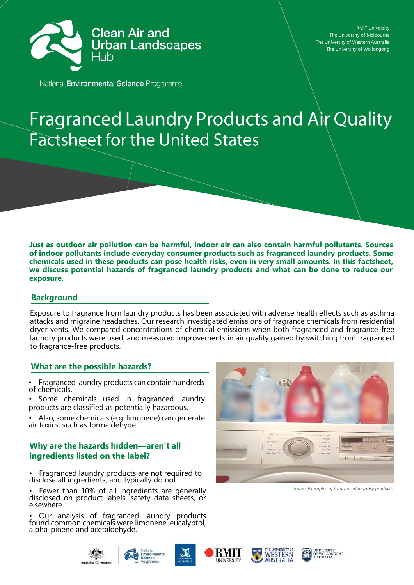

RMIT University The University of Melbourne The University of Western Australia The University of Wollongong

National Environmental Science Programme

# **Fragranced Laundry Products and Air Quality Factsheet for the United States**

**Just as outdoor air pollution can be harmful, indoor air can also contain harmful pollutants. Sources of indoor pollutants include everyday consumer products such as fragranced laundry products. Some chemicals used in these products can pose health risks, even in very small amounts. In this factsheet, we discuss potential hazards of fragranced laundry products and what can be done to reduce our exposure.**

## **Background**

Exposure to fragrance from laundry products has been associated with adverse health effects such as asthma attacks and migraine headaches. Our research investigated emissions of fragrance chemicals from residential dryer vents. We compared concentrations of chemical emissions when both fragranced and fragrance-free laundry products were used, and measured improvements in air quality gained by switching from fragranced to fragrance-free products.

## **What are the possible hazards?**

• Fragranced laundry products can contain hundreds of chemicals.

• Some chemicals used in fragranced laundry products are classified as potentially hazardous.

• Also, some chemicals (e.g. limonene) can generate air toxics, such as formaldehyde.

# **Why are the hazards hidden—aren't all ingredients listed on the label?**

• Fragranced laundry products are not required to disclose all ingredients, and typically do not.

• Fewer than 10% of all ingredients are generally disclosed on product labels, safety data sheets, or elsewhere.

• Our analysis of fragranced laundry products found common chemicals were limonene, eucalyptol, alpha-pinene and acetaldehyde.



*Image: Examples of fragranced laundry products*